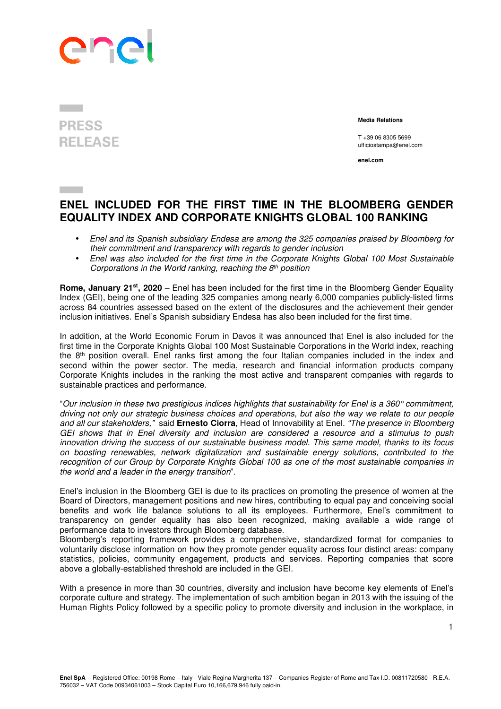

## **PRESS RELEASE**

 **Media Relations** 

T +39 06 8305 5699 ufficiostampa@enel.com

**enel.com**

## **ENEL INCLUDED FOR THE FIRST TIME IN THE BLOOMBERG GENDER EQUALITY INDEX AND CORPORATE KNIGHTS GLOBAL 100 RANKING**

- Enel and its Spanish subsidiary Endesa are among the 325 companies praised by Bloomberg for their commitment and transparency with regards to gender inclusion
- Enel was also included for the first time in the Corporate Knights Global 100 Most Sustainable Corporations in the World ranking, reaching the  $8<sup>th</sup>$  position

**Rome, January 21st, 2020** – Enel has been included for the first time in the Bloomberg Gender Equality Index (GEI), being one of the leading 325 companies among nearly 6,000 companies publicly-listed firms across 84 countries assessed based on the extent of the disclosures and the achievement their gender inclusion initiatives. Enel's Spanish subsidiary Endesa has also been included for the first time.

In addition, at the World Economic Forum in Davos it was announced that Enel is also included for the first time in the Corporate Knights Global 100 Most Sustainable Corporations in the World index, reaching the 8<sup>th</sup> position overall. Enel ranks first among the four Italian companies included in the index and second within the power sector. The media, research and financial information products company Corporate Knights includes in the ranking the most active and transparent companies with regards to sustainable practices and performance.

"Our inclusion in these two prestigious indices highlights that sustainability for Enel is a 360° commitment, driving not only our strategic business choices and operations, but also the way we relate to our people and all our stakeholders," said **Ernesto Ciorra**, Head of Innovability at Enel. "The presence in Bloomberg GEI shows that in Enel diversity and inclusion are considered a resource and a stimulus to push innovation driving the success of our sustainable business model. This same model, thanks to its focus on boosting renewables, network digitalization and sustainable energy solutions, contributed to the recognition of our Group by Corporate Knights Global 100 as one of the most sustainable companies in the world and a leader in the energy transition".

Enel's inclusion in the Bloomberg GEI is due to its practices on promoting the presence of women at the Board of Directors, management positions and new hires, contributing to equal pay and conceiving social benefits and work life balance solutions to all its employees. Furthermore, Enel's commitment to transparency on gender equality has also been recognized, making available a wide range of performance data to investors through Bloomberg database.

Bloomberg's reporting framework provides a comprehensive, standardized format for companies to voluntarily disclose information on how they promote gender equality across four distinct areas: company statistics, policies, community engagement, products and services. Reporting companies that score above a globally-established threshold are included in the GEI.

With a presence in more than 30 countries, diversity and inclusion have become key elements of Enel's corporate culture and strategy. The implementation of such ambition began in 2013 with the issuing of the Human Rights Policy followed by a specific policy to promote diversity and inclusion in the workplace, in